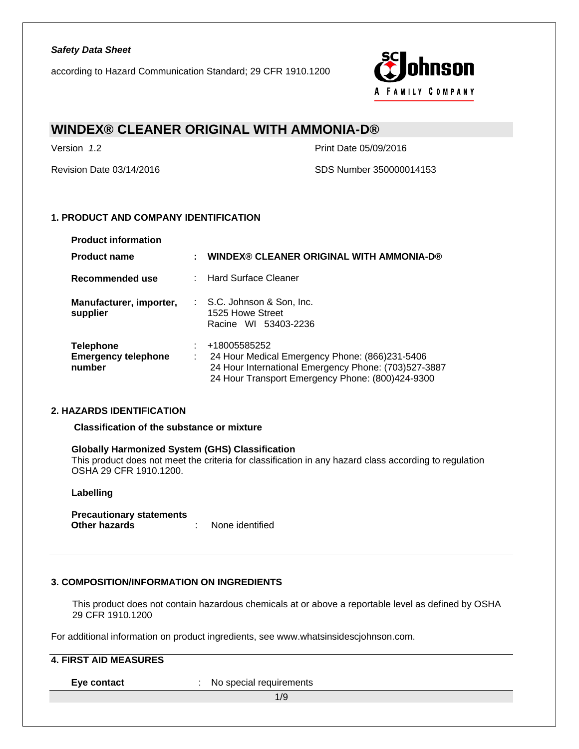according to Hazard Communication Standard; 29 CFR 1910.1200



# **WINDEX® CLEANER ORIGINAL WITH AMMONIA-D®**

Version *1*.2 Print Date 05/09/2016

Revision Date 03/14/2016 SDS Number 350000014153

### **1. PRODUCT AND COMPANY IDENTIFICATION**

| <b>Product information</b>                               |                                                                                                                                                                            |
|----------------------------------------------------------|----------------------------------------------------------------------------------------------------------------------------------------------------------------------------|
| <b>Product name</b>                                      | WINDEX® CLEANER ORIGINAL WITH AMMONIA-D®                                                                                                                                   |
| Recommended use                                          | : Hard Surface Cleaner                                                                                                                                                     |
| Manufacturer, importer,<br>supplier                      | $\therefore$ S.C. Johnson & Son, Inc.<br>1525 Howe Street<br>Racine WI 53403-2236                                                                                          |
| <b>Telephone</b><br><b>Emergency telephone</b><br>number | +18005585252<br>24 Hour Medical Emergency Phone: (866)231-5406<br>24 Hour International Emergency Phone: (703)527-3887<br>24 Hour Transport Emergency Phone: (800)424-9300 |

### **2. HAZARDS IDENTIFICATION**

**Classification of the substance or mixture** 

### **Globally Harmonized System (GHS) Classification**

This product does not meet the criteria for classification in any hazard class according to regulation OSHA 29 CFR 1910.1200.

### **Labelling**

**Precautionary statements Construction** : None identified

### **3. COMPOSITION/INFORMATION ON INGREDIENTS**

This product does not contain hazardous chemicals at or above a reportable level as defined by OSHA 29 CFR 1910.1200

For additional information on product ingredients, see www.whatsinsidescjohnson.com.

### **4. FIRST AID MEASURES**

**Eye contact** : No special requirements

1/9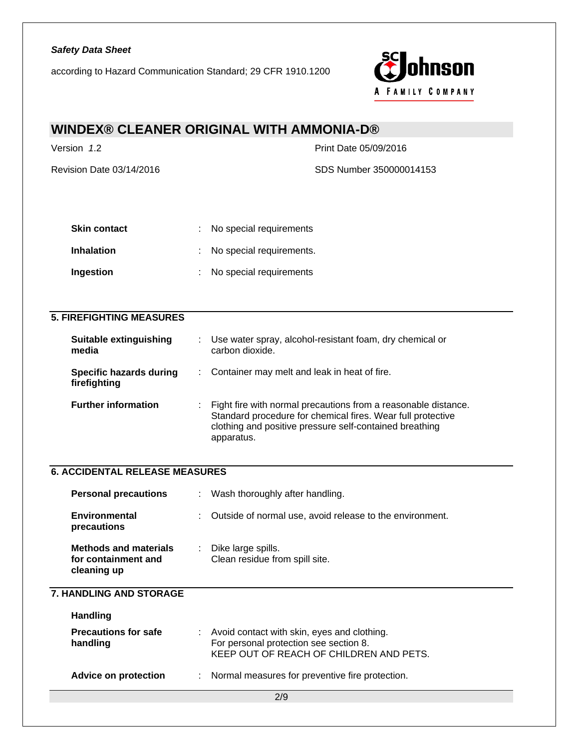according to Hazard Communication Standard; 29 CFR 1910.1200



# **WINDEX® CLEANER ORIGINAL WITH AMMONIA-D®**

Version *1*.2 Print Date 05/09/2016 Revision Date 03/14/2016 **SDS Number 350000014153** 

| <b>Skin contact</b> | : No special requirements  |
|---------------------|----------------------------|
| <b>Inhalation</b>   | : No special requirements. |
| <b>Ingestion</b>    | : No special requirements  |

### **5. FIREFIGHTING MEASURES**

| <b>Suitable extinguishing</b><br>media  | Use water spray, alcohol-resistant foam, dry chemical or<br>carbon dioxide.                                                                                                                              |
|-----------------------------------------|----------------------------------------------------------------------------------------------------------------------------------------------------------------------------------------------------------|
| Specific hazards during<br>firefighting | : Container may melt and leak in heat of fire.                                                                                                                                                           |
| <b>Further information</b>              | : Fight fire with normal precautions from a reasonable distance.<br>Standard procedure for chemical fires. Wear full protective<br>clothing and positive pressure self-contained breathing<br>apparatus. |

## **6. ACCIDENTAL RELEASE MEASURES**

| <b>Personal precautions</b>                                        | ÷. | Wash thoroughly after handling.                            |
|--------------------------------------------------------------------|----|------------------------------------------------------------|
| <b>Environmental</b><br>precautions                                |    | : Outside of normal use, avoid release to the environment. |
| <b>Methods and materials</b><br>for containment and<br>cleaning up |    | Dike large spills.<br>Clean residue from spill site.       |

### **7. HANDLING AND STORAGE**

| <b>Handling</b>                         |                                                                                                                                    |
|-----------------------------------------|------------------------------------------------------------------------------------------------------------------------------------|
| <b>Precautions for safe</b><br>handling | : Avoid contact with skin, eyes and clothing.<br>For personal protection see section 8.<br>KEEP OUT OF REACH OF CHILDREN AND PETS. |
| <b>Advice on protection</b>             | : Normal measures for preventive fire protection.                                                                                  |

2/9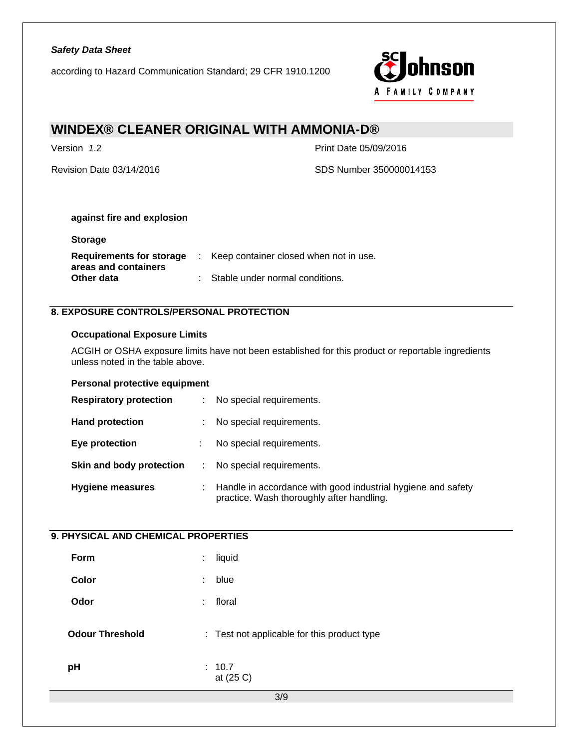according to Hazard Communication Standard; 29 CFR 1910.1200



# **WINDEX® CLEANER ORIGINAL WITH AMMONIA-D®**

**Storage** 

Version *1*.2 Print Date 05/09/2016

Revision Date 03/14/2016 SDS Number 350000014153

### **against fire and explosion**

| : Keep container closed when not in use. |
|------------------------------------------|
|                                          |
| : Stable under normal conditions.        |
|                                          |

# **8. EXPOSURE CONTROLS/PERSONAL PROTECTION**

### **Occupational Exposure Limits**

ACGIH or OSHA exposure limits have not been established for this product or reportable ingredients unless noted in the table above.

### **Personal protective equipment**

| <b>Respiratory protection</b> | No special requirements.                                                                                    |
|-------------------------------|-------------------------------------------------------------------------------------------------------------|
| <b>Hand protection</b>        | No special requirements.                                                                                    |
| Eye protection                | No special requirements.                                                                                    |
| Skin and body protection      | No special requirements.                                                                                    |
| <b>Hygiene measures</b>       | : Handle in accordance with good industrial hygiene and safety<br>practice. Wash thoroughly after handling. |

### **9. PHYSICAL AND CHEMICAL PROPERTIES**

| Form                   | ÷  | liquid                                      |
|------------------------|----|---------------------------------------------|
| Color                  | ÷  | blue                                        |
| Odor                   | ÷. | floral                                      |
| <b>Odour Threshold</b> |    | : Test not applicable for this product type |
| pH                     |    | : 10.7<br>at (25 C)                         |
|                        |    | 3/9                                         |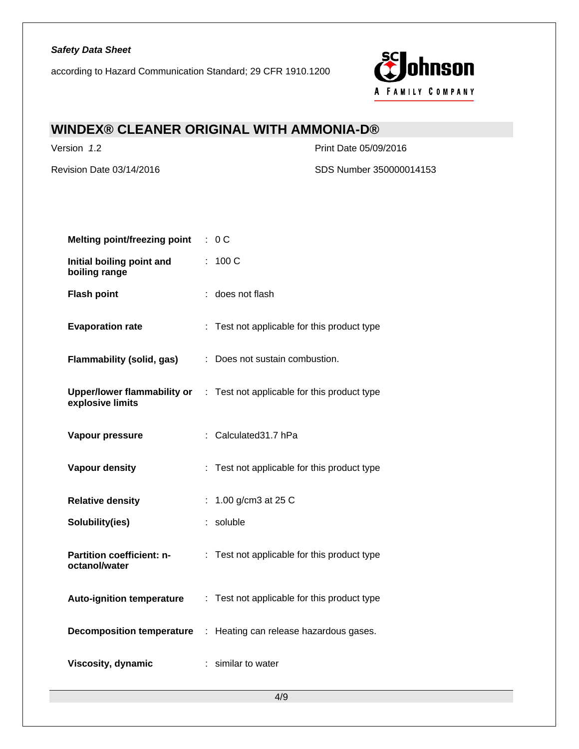according to Hazard Communication Standard; 29 CFR 1910.1200



# **WINDEX® CLEANER ORIGINAL WITH AMMONIA-D®**

Version *1*.2 Print Date 05/09/2016

Revision Date 03/14/2016 SDS Number 350000014153

| <b>Melting point/freezing point</b>        | : 0C                                                                    |
|--------------------------------------------|-------------------------------------------------------------------------|
| Initial boiling point and<br>boiling range | : 100 C                                                                 |
| <b>Flash point</b>                         | : does not flash                                                        |
| <b>Evaporation rate</b>                    | : Test not applicable for this product type                             |
| Flammability (solid, gas)                  | : Does not sustain combustion.                                          |
| explosive limits                           | Upper/lower flammability or : Test not applicable for this product type |
| Vapour pressure                            | : Calculated 31.7 hPa                                                   |
| <b>Vapour density</b>                      | : Test not applicable for this product type                             |
| <b>Relative density</b>                    | : 1.00 g/cm3 at 25 C                                                    |
| Solubility(ies)                            | : soluble                                                               |
| Partition coefficient: n-<br>octanol/water | : Test not applicable for this product type                             |
| <b>Auto-ignition temperature</b>           | : Test not applicable for this product type                             |
|                                            | <b>Decomposition temperature</b> : Heating can release hazardous gases. |
| Viscosity, dynamic                         | : similar to water                                                      |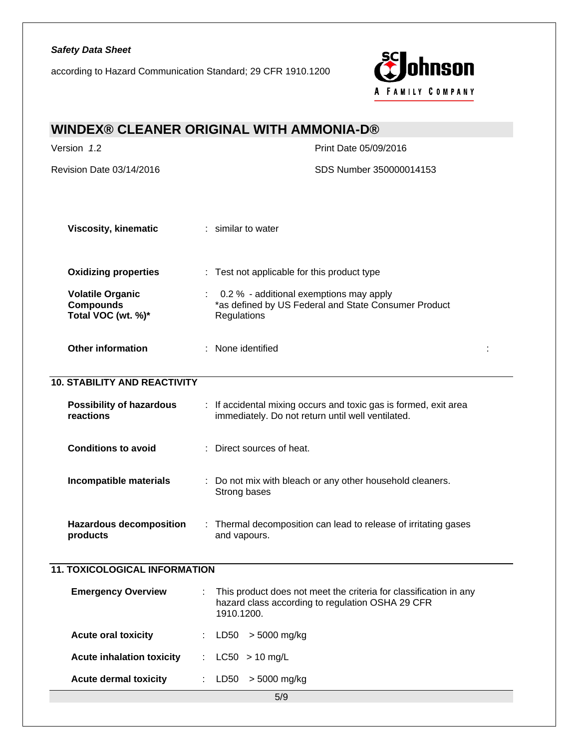according to Hazard Communication Standard; 29 CFR 1910.1200



| <b>WINDEX® CLEANER ORIGINAL WITH AMMONIA-D®</b>                   |                                                                                                                                     |  |
|-------------------------------------------------------------------|-------------------------------------------------------------------------------------------------------------------------------------|--|
| Version 1.2                                                       | Print Date 05/09/2016                                                                                                               |  |
| Revision Date 03/14/2016                                          | SDS Number 350000014153                                                                                                             |  |
|                                                                   |                                                                                                                                     |  |
| <b>Viscosity, kinematic</b>                                       | : similar to water                                                                                                                  |  |
| <b>Oxidizing properties</b>                                       | : Test not applicable for this product type                                                                                         |  |
| <b>Volatile Organic</b><br><b>Compounds</b><br>Total VOC (wt. %)* | 0.2 % - additional exemptions may apply<br>*as defined by US Federal and State Consumer Product<br>Regulations                      |  |
| <b>Other information</b>                                          | : None identified                                                                                                                   |  |
| <b>10. STABILITY AND REACTIVITY</b>                               |                                                                                                                                     |  |
| <b>Possibility of hazardous</b><br>reactions                      | : If accidental mixing occurs and toxic gas is formed, exit area<br>immediately. Do not return until well ventilated.               |  |
| <b>Conditions to avoid</b>                                        | : Direct sources of heat.                                                                                                           |  |
| Incompatible materials                                            | : Do not mix with bleach or any other household cleaners.<br>Strong bases                                                           |  |
| <b>Hazardous decomposition</b><br>products                        | Thermal decomposition can lead to release of irritating gases<br>and vapours.                                                       |  |
| <b>11. TOXICOLOGICAL INFORMATION</b>                              |                                                                                                                                     |  |
| <b>Emergency Overview</b>                                         | This product does not meet the criteria for classification in any<br>hazard class according to regulation OSHA 29 CFR<br>1910.1200. |  |
| <b>Acute oral toxicity</b>                                        | > 5000 mg/kg<br>LD50                                                                                                                |  |
| <b>Acute inhalation toxicity</b>                                  | $LC50 > 10$ mg/L<br>$\mathcal{L}^{\text{max}}$                                                                                      |  |
| <b>Acute dermal toxicity</b>                                      | > 5000 mg/kg<br>LD50                                                                                                                |  |
|                                                                   | 5/9                                                                                                                                 |  |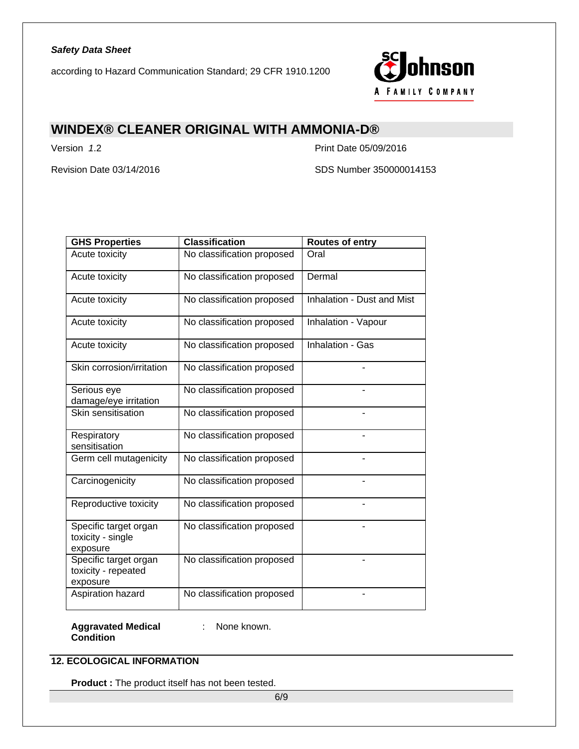according to Hazard Communication Standard; 29 CFR 1910.1200



# **WINDEX® CLEANER ORIGINAL WITH AMMONIA-D®**

Version *1*.2 Print Date 05/09/2016

Revision Date 03/14/2016 **SDS Number 350000014153** 

| <b>GHS Properties</b>                                    | <b>Classification</b>      | <b>Routes of entry</b>     |
|----------------------------------------------------------|----------------------------|----------------------------|
| Acute toxicity                                           | No classification proposed | Oral                       |
| Acute toxicity                                           | No classification proposed | Dermal                     |
| Acute toxicity                                           | No classification proposed | Inhalation - Dust and Mist |
| Acute toxicity                                           | No classification proposed | Inhalation - Vapour        |
| Acute toxicity                                           | No classification proposed | Inhalation - Gas           |
| Skin corrosion/irritation                                | No classification proposed |                            |
| Serious eye<br>damage/eye irritation                     | No classification proposed |                            |
| Skin sensitisation                                       | No classification proposed |                            |
| Respiratory<br>sensitisation                             | No classification proposed |                            |
| Germ cell mutagenicity                                   | No classification proposed |                            |
| Carcinogenicity                                          | No classification proposed |                            |
| Reproductive toxicity                                    | No classification proposed |                            |
| Specific target organ<br>toxicity - single<br>exposure   | No classification proposed |                            |
| Specific target organ<br>toxicity - repeated<br>exposure | No classification proposed |                            |
| Aspiration hazard                                        | No classification proposed |                            |

**Aggravated Medical**  : None known. **Condition** 

### **12. ECOLOGICAL INFORMATION**

**Product :** The product itself has not been tested.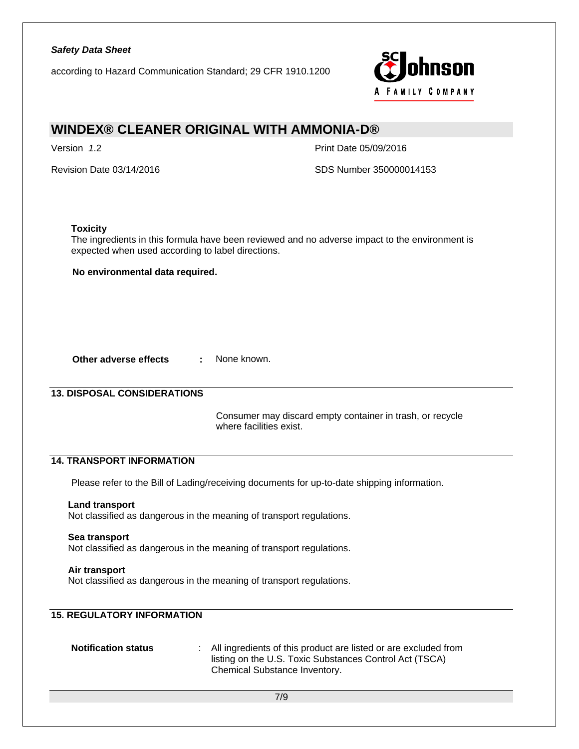according to Hazard Communication Standard; 29 CFR 1910.1200



# **WINDEX® CLEANER ORIGINAL WITH AMMONIA-D®**

Version *1*.2 Print Date 05/09/2016

Revision Date 03/14/2016 SDS Number 350000014153

### **Toxicity**

The ingredients in this formula have been reviewed and no adverse impact to the environment is expected when used according to label directions.

**No environmental data required.** 

**Other adverse effects : None known.** 

### **13. DISPOSAL CONSIDERATIONS**

 Consumer may discard empty container in trash, or recycle where facilities exist.

### **14. TRANSPORT INFORMATION**

Please refer to the Bill of Lading/receiving documents for up-to-date shipping information.

### **Land transport**

Not classified as dangerous in the meaning of transport regulations.

#### **Sea transport**

Not classified as dangerous in the meaning of transport regulations.

### **Air transport**

Not classified as dangerous in the meaning of transport regulations.

# **15. REGULATORY INFORMATION**

**Notification status :** All ingredients of this product are listed or are excluded from listing on the U.S. Toxic Substances Control Act (TSCA) Chemical Substance Inventory.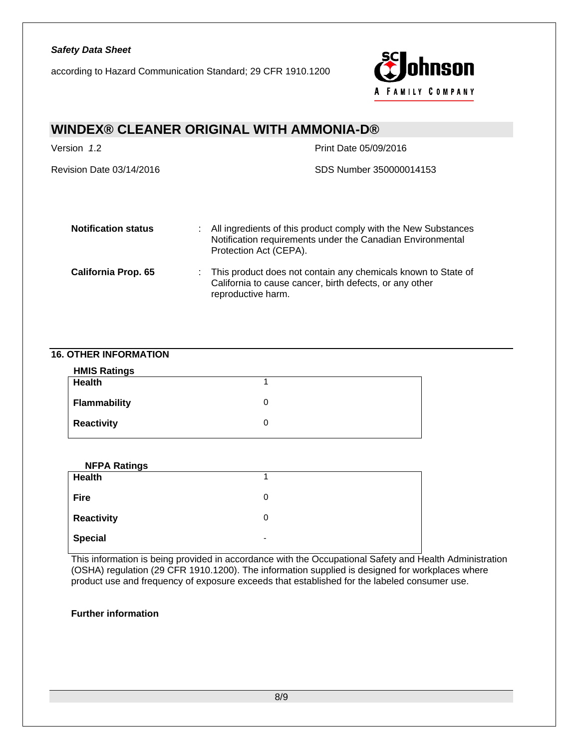according to Hazard Communication Standard; 29 CFR 1910.1200



# **WINDEX® CLEANER ORIGINAL WITH AMMONIA-D®**  Version *1*.2 Print Date 05/09/2016 Revision Date 03/14/2016 SDS Number 350000014153 **Notification status** : All ingredients of this product comply with the New Substances Notification requirements under the Canadian Environmental Protection Act (CEPA). **California Prop. 65** : This product does not contain any chemicals known to State of California to cause cancer, birth defects, or any other reproductive harm.

### **16. OTHER INFORMATION**

| <b>NFPA Ratings</b> |                          |
|---------------------|--------------------------|
| <b>Health</b>       |                          |
| <b>Fire</b>         | 0                        |
| <b>Reactivity</b>   | 0                        |
| <b>Special</b>      | $\overline{\phantom{0}}$ |

This information is being provided in accordance with the Occupational Safety and Health Administration (OSHA) regulation (29 CFR 1910.1200). The information supplied is designed for workplaces where product use and frequency of exposure exceeds that established for the labeled consumer use.

### **Further information**